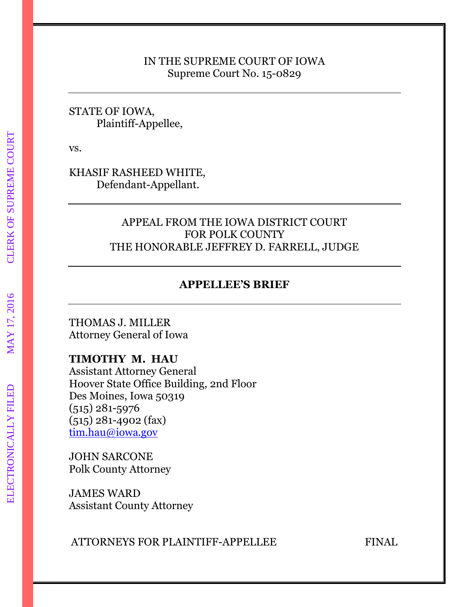### IN THE SUPREME COURT OF IOWA Supreme Court No. 15-0829

#### STATE OF IOWA, Plaintiff-Appellee,

vs.

KHASIF RASHEED WHITE, Defendant-Appellant.

## APPEAL FROM THE IOWA DISTRICT COURT FOR POLK COUNTY THE HONORABLE JEFFREY D. FARRELL, JUDGE

## **APPELLEE'S BRIEF**

THOMAS J. MILLER Attorney General of Iowa

## **TIMOTHY M. HAU**

Assistant Attorney General Hoover State Office Building, 2nd Floor Des Moines, Iowa 50319 (515) 281-5976 (515) 281-4902 (fax) [tim.hau@iowa.gov](mailto:tim.hau@iowa.gov)

JOHN SARCONE Polk County Attorney

JAMES WARD Assistant County Attorney

ATTORNEYS FOR PLAINTIFF-APPELLEE FINAL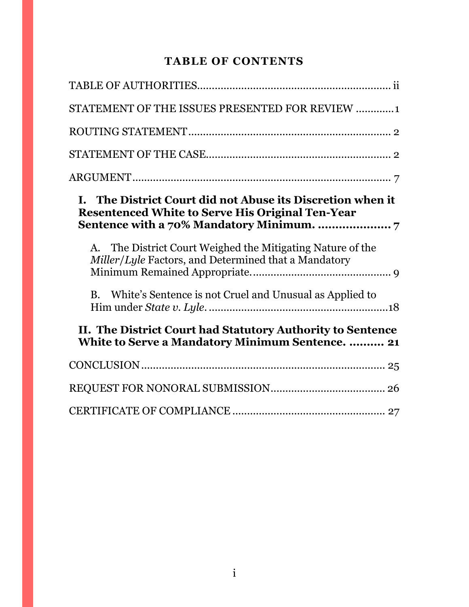# **TABLE OF CONTENTS**

| STATEMENT OF THE ISSUES PRESENTED FOR REVIEW 1                                                                        |
|-----------------------------------------------------------------------------------------------------------------------|
|                                                                                                                       |
|                                                                                                                       |
|                                                                                                                       |
| I. The District Court did not Abuse its Discretion when it<br><b>Resentenced White to Serve His Original Ten-Year</b> |
| A. The District Court Weighed the Mitigating Nature of the<br>Miller/Lyle Factors, and Determined that a Mandatory    |
| B. White's Sentence is not Cruel and Unusual as Applied to                                                            |
| II. The District Court had Statutory Authority to Sentence<br>White to Serve a Mandatory Minimum Sentence.  21        |
|                                                                                                                       |
|                                                                                                                       |
|                                                                                                                       |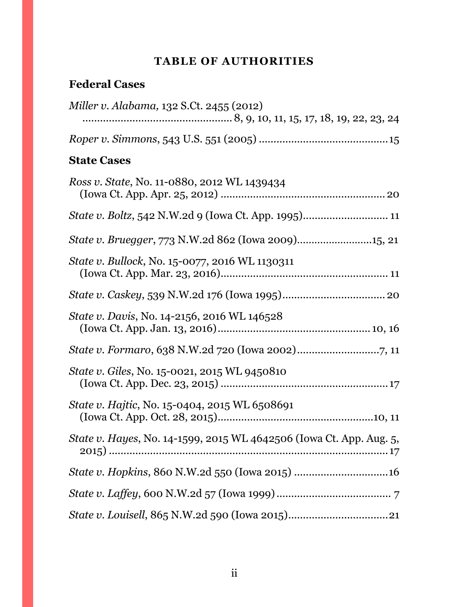# **TABLE OF AUTHORITIES**

# <span id="page-2-0"></span>**Federal Cases**

| Miller v. Alabama, 132 S.Ct. 2455 (2012)                            |
|---------------------------------------------------------------------|
|                                                                     |
|                                                                     |
| <b>State Cases</b>                                                  |
| <i>Ross v. State, No.</i> 11-0880, 2012 WL 1439434                  |
|                                                                     |
| State v. Bruegger, 773 N.W.2d 862 (Iowa 2009)15, 21                 |
| <i>State v. Bullock, No.</i> 15-0077, 2016 WL 1130311               |
|                                                                     |
| <i>State v. Davis, No.</i> 14-2156, 2016 WL 146528                  |
|                                                                     |
| <i>State v. Giles, No.</i> 15-0021, 2015 WL 9450810                 |
| State v. Hajtic, No. 15-0404, 2015 WL 6508691                       |
| State v. Hayes, No. 14-1599, 2015 WL 4642506 (Iowa Ct. App. Aug. 5, |
|                                                                     |
|                                                                     |
|                                                                     |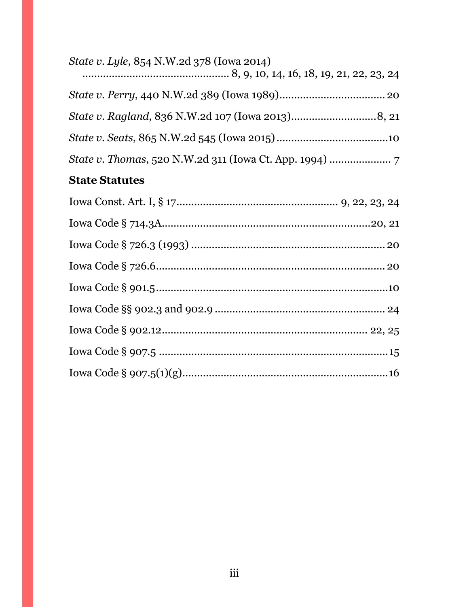| State v. Lyle, 854 N.W.2d 378 (Iowa 2014) |  |
|-------------------------------------------|--|
|                                           |  |
|                                           |  |
|                                           |  |
|                                           |  |

# **State Statutes**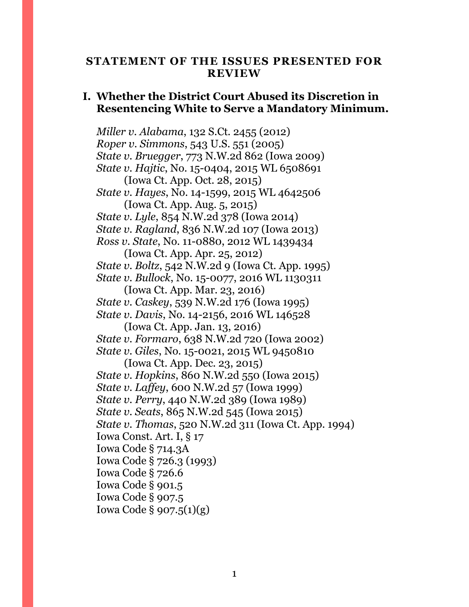#### <span id="page-4-0"></span>**STATEMENT OF THE ISSUES PRESENTED FOR REVIEW**

### **I. Whether the District Court Abused its Discretion in Resentencing White to Serve a Mandatory Minimum.**

*Miller v. Alabama*, 132 S.Ct. 2455 (2012) *Roper v. Simmons*, 543 U.S. 551 (2005) *State v. Bruegger*, 773 N.W.2d 862 (Iowa 2009) *State v. Hajtic*, No. 15-0404, 2015 WL 6508691 (Iowa Ct. App. Oct. 28, 2015) *State v. Hayes*, No. 14-1599, 2015 WL 4642506 (Iowa Ct. App. Aug. 5, 2015) *State v. Lyle*, 854 N.W.2d 378 (Iowa 2014) *State v. Ragland*, 836 N.W.2d 107 (Iowa 2013) *Ross v. State*, No. 11-0880, 2012 WL 1439434 (Iowa Ct. App. Apr. 25, 2012) *State v. Boltz*, 542 N.W.2d 9 (Iowa Ct. App. 1995) *State v. Bullock, No.* 15-0077, 2016 WL 1130311 (Iowa Ct. App. Mar. 23, 2016) *State v. Caskey*, 539 N.W.2d 176 (Iowa 1995) *State v. Davis*, No. 14-2156, 2016 WL 146528 (Iowa Ct. App. Jan. 13, 2016) *State v. Formaro*, 638 N.W.2d 720 (Iowa 2002) *State v. Giles*, No. 15-0021, 2015 WL 9450810 (Iowa Ct. App. Dec. 23, 2015) *State v. Hopkins*, 860 N.W.2d 550 (Iowa 2015) *State v. Laffey*, 600 N.W.2d 57 (Iowa 1999) *State v. Perry*, 440 N.W.2d 389 (Iowa 1989) *State v. Seats*, 865 N.W.2d 545 (Iowa 2015) *State v. Thomas*, 520 N.W.2d 311 (Iowa Ct. App. 1994) Iowa Const. Art. I, § 17 Iowa Code § 714.3A Iowa Code § 726.3 (1993) Iowa Code § 726.6 Iowa Code § 901.5 Iowa Code § 907.5 Iowa Code  $\S$  907.5(1)(g)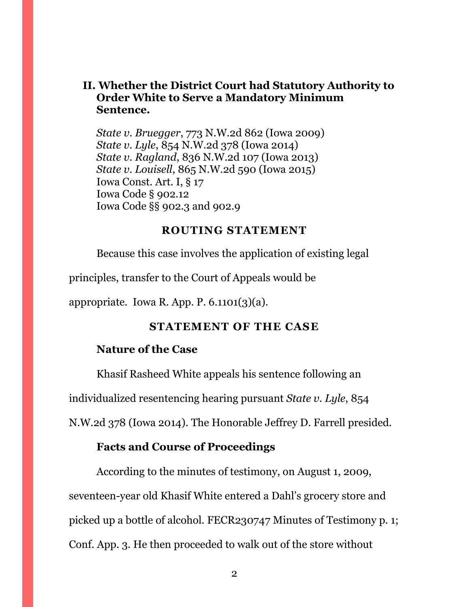## **II. Whether the District Court had Statutory Authority to Order White to Serve a Mandatory Minimum Sentence.**

*State v. Bruegger*, 773 N.W.2d 862 (Iowa 2009) *State v. Lyle*, 854 N.W.2d 378 (Iowa 2014) *State v. Ragland*, 836 N.W.2d 107 (Iowa 2013) *State v. Louisell*, 865 N.W.2d 590 (Iowa 2015) Iowa Const. Art. I, § 17 Iowa Code § 902.12 Iowa Code §§ 902.3 and 902.9

#### **ROUTING STATEMENT**

<span id="page-5-0"></span>Because this case involves the application of existing legal

principles, transfer to the Court of Appeals would be

<span id="page-5-1"></span>appropriate. Iowa R. App. P.  $6.1101(3)(a)$ .

#### **STATEMENT OF THE CASE**

#### **Nature of the Case**

Khasif Rasheed White appeals his sentence following an

individualized resentencing hearing pursuant *State v. Lyle*, 854

N.W.2d 378 (Iowa 2014). The Honorable Jeffrey D. Farrell presided.

## **Facts and Course of Proceedings**

According to the minutes of testimony, on August 1, 2009, seventeen-year old Khasif White entered a Dahl's grocery store and picked up a bottle of alcohol. FECR230747 Minutes of Testimony p. 1; Conf. App. 3. He then proceeded to walk out of the store without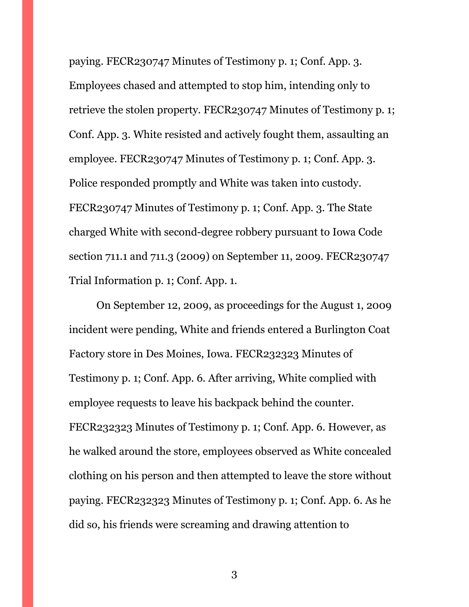paying. FECR230747 Minutes of Testimony p. 1; Conf. App. 3. Employees chased and attempted to stop him, intending only to retrieve the stolen property. FECR230747 Minutes of Testimony p. 1; Conf. App. 3. White resisted and actively fought them, assaulting an employee. FECR230747 Minutes of Testimony p. 1; Conf. App. 3. Police responded promptly and White was taken into custody. FECR230747 Minutes of Testimony p. 1; Conf. App. 3. The State charged White with second-degree robbery pursuant to Iowa Code section 711.1 and 711.3 (2009) on September 11, 2009. FECR230747 Trial Information p. 1; Conf. App. 1.

On September 12, 2009, as proceedings for the August 1, 2009 incident were pending, White and friends entered a Burlington Coat Factory store in Des Moines, Iowa. FECR232323 Minutes of Testimony p. 1; Conf. App. 6. After arriving, White complied with employee requests to leave his backpack behind the counter. FECR232323 Minutes of Testimony p. 1; Conf. App. 6. However, as he walked around the store, employees observed as White concealed clothing on his person and then attempted to leave the store without paying. FECR232323 Minutes of Testimony p. 1; Conf. App. 6. As he did so, his friends were screaming and drawing attention to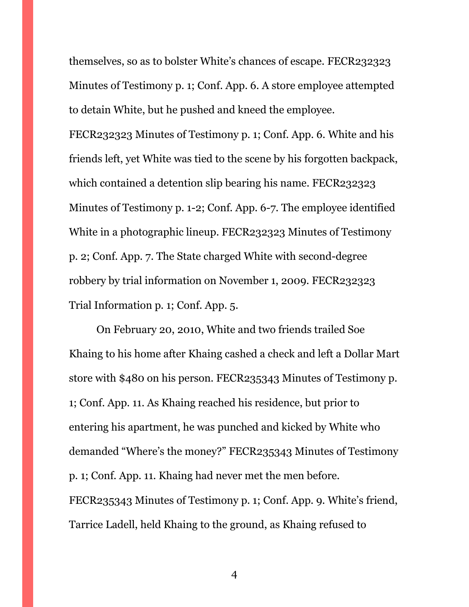themselves, so as to bolster White's chances of escape. FECR232323 Minutes of Testimony p. 1; Conf. App. 6. A store employee attempted to detain White, but he pushed and kneed the employee. FECR232323 Minutes of Testimony p. 1; Conf. App. 6. White and his friends left, yet White was tied to the scene by his forgotten backpack, which contained a detention slip bearing his name. FECR232323 Minutes of Testimony p. 1-2; Conf. App. 6-7. The employee identified White in a photographic lineup. FECR232323 Minutes of Testimony p. 2; Conf. App. 7. The State charged White with second-degree robbery by trial information on November 1, 2009. FECR232323

Trial Information p. 1; Conf. App. 5.

On February 20, 2010, White and two friends trailed Soe Khaing to his home after Khaing cashed a check and left a Dollar Mart store with \$480 on his person. FECR235343 Minutes of Testimony p. 1; Conf. App. 11. As Khaing reached his residence, but prior to entering his apartment, he was punched and kicked by White who demanded "Where's the money?" FECR235343 Minutes of Testimony p. 1; Conf. App. 11. Khaing had never met the men before. FECR235343 Minutes of Testimony p. 1; Conf. App. 9. White's friend, Tarrice Ladell, held Khaing to the ground, as Khaing refused to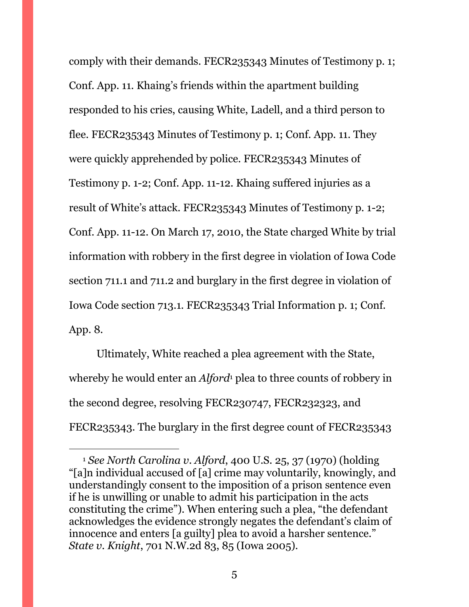comply with their demands. FECR235343 Minutes of Testimony p. 1; Conf. App. 11. Khaing's friends within the apartment building responded to his cries, causing White, Ladell, and a third person to flee. FECR235343 Minutes of Testimony p. 1; Conf. App. 11. They were quickly apprehended by police. FECR235343 Minutes of Testimony p. 1-2; Conf. App. 11-12. Khaing suffered injuries as a result of White's attack. FECR235343 Minutes of Testimony p. 1-2; Conf. App. 11-12. On March 17, 2010, the State charged White by trial information with robbery in the first degree in violation of Iowa Code section 711.1 and 711.2 and burglary in the first degree in violation of Iowa Code section 713.1. FECR235343 Trial Information p. 1; Conf. App. 8.

Ultimately, White reached a plea agreement with the State, whereby he would enter an *Alford*<sup>1</sup> plea to three counts of robbery in the second degree, resolving FECR230747, FECR232323, and FECR235343. The burglary in the first degree count of FECR235343

 $\overline{a}$ 

<sup>1</sup> *See North Carolina v. Alford*, 400 U.S. 25, 37 (1970) (holding "[a]n individual accused of [a] crime may voluntarily, knowingly, and understandingly consent to the imposition of a prison sentence even if he is unwilling or unable to admit his participation in the acts constituting the crime"). When entering such a plea, "the defendant acknowledges the evidence strongly negates the defendant's claim of innocence and enters [a guilty] plea to avoid a harsher sentence." *State v. Knight*, 701 N.W.2d 83, 85 (Iowa 2005).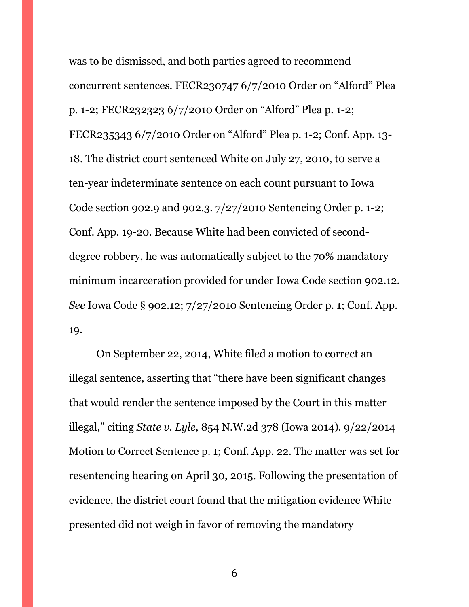was to be dismissed, and both parties agreed to recommend concurrent sentences. FECR230747 6/7/2010 Order on "Alford" Plea p. 1-2; FECR232323 6/7/2010 Order on "Alford" Plea p. 1-2; FECR235343 6/7/2010 Order on "Alford" Plea p. 1-2; Conf. App. 13- 18. The district court sentenced White on July 27, 2010, t0 serve a ten-year indeterminate sentence on each count pursuant to Iowa Code section 902.9 and 902.3. 7/27/2010 Sentencing Order p. 1-2; Conf. App. 19-20. Because White had been convicted of seconddegree robbery, he was automatically subject to the 70% mandatory minimum incarceration provided for under Iowa Code section 902.12. *See* Iowa Code § 902.12; 7/27/2010 Sentencing Order p. 1; Conf. App. 19.

On September 22, 2014, White filed a motion to correct an illegal sentence, asserting that "there have been significant changes that would render the sentence imposed by the Court in this matter illegal," citing *State v. Lyle*, 854 N.W.2d 378 (Iowa 2014). 9/22/2014 Motion to Correct Sentence p. 1; Conf. App. 22. The matter was set for resentencing hearing on April 30, 2015. Following the presentation of evidence, the district court found that the mitigation evidence White presented did not weigh in favor of removing the mandatory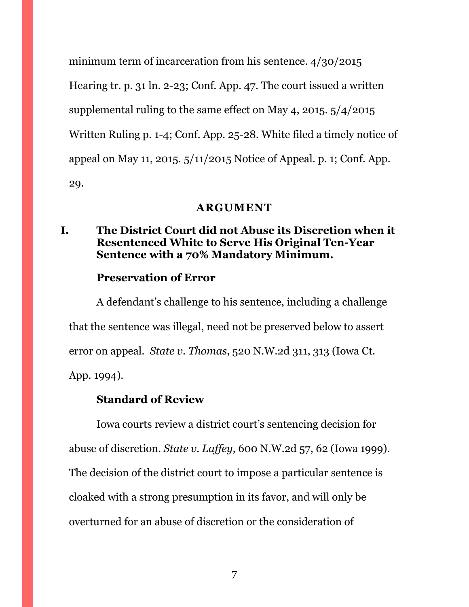minimum term of incarceration from his sentence. 4/30/2015 Hearing tr. p. 31 ln. 2-23; Conf. App. 47. The court issued a written supplemental ruling to the same effect on May 4, 2015. 5/4/2015 Written Ruling p. 1-4; Conf. App. 25-28. White filed a timely notice of appeal on May 11, 2015. 5/11/2015 Notice of Appeal. p. 1; Conf. App. 29.

#### **ARGUMENT**

## <span id="page-10-1"></span><span id="page-10-0"></span>**I. The District Court did not Abuse its Discretion when it Resentenced White to Serve His Original Ten-Year Sentence with a 70% Mandatory Minimum.**

#### **Preservation of Error**

A defendant's challenge to his sentence, including a challenge that the sentence was illegal, need not be preserved below to assert error on appeal. *State v. Thomas*, 520 N.W.2d 311, 313 (Iowa Ct. App. 1994).

#### **Standard of Review**

Iowa courts review a district court's sentencing decision for abuse of discretion. *State v. Laffey*, 600 N.W.2d 57, 62 (Iowa 1999). The decision of the district court to impose a particular sentence is cloaked with a strong presumption in its favor, and will only be overturned for an abuse of discretion or the consideration of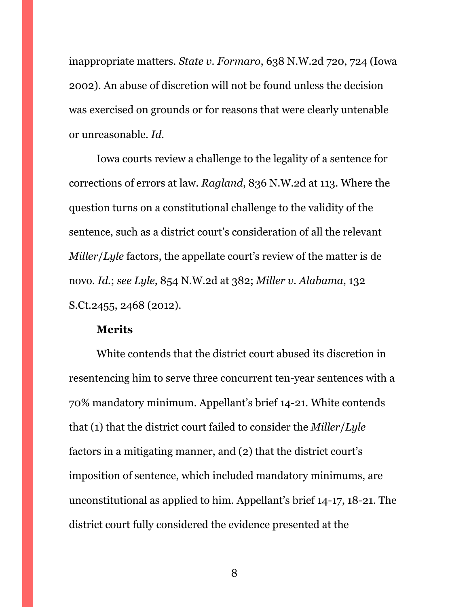inappropriate matters. *State v. Formaro*, 638 N.W.2d 720, 724 (Iowa 2002). An abuse of discretion will not be found unless the decision was exercised on grounds or for reasons that were clearly untenable or unreasonable. *Id.*

Iowa courts review a challenge to the legality of a sentence for corrections of errors at law. *Ragland*, 836 N.W.2d at 113. Where the question turns on a constitutional challenge to the validity of the sentence, such as a district court's consideration of all the relevant *Miller*/*Lyle* factors, the appellate court's review of the matter is de novo. *Id.*; *see Lyle*, 854 N.W.2d at 382; *Miller v. Alabama*, 132 S.Ct.2455, 2468 (2012).

#### **Merits**

White contends that the district court abused its discretion in resentencing him to serve three concurrent ten-year sentences with a 70% mandatory minimum. Appellant's brief 14-21. White contends that (1) that the district court failed to consider the *Miller*/*Lyle*  factors in a mitigating manner, and (2) that the district court's imposition of sentence, which included mandatory minimums, are unconstitutional as applied to him. Appellant's brief 14-17, 18-21. The district court fully considered the evidence presented at the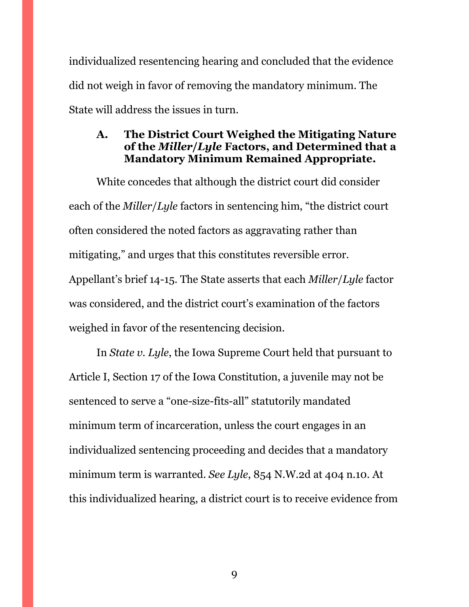individualized resentencing hearing and concluded that the evidence did not weigh in favor of removing the mandatory minimum. The State will address the issues in turn.

## <span id="page-12-0"></span>**A. The District Court Weighed the Mitigating Nature of the** *Miller***/***Lyle* **Factors, and Determined that a Mandatory Minimum Remained Appropriate.**

White concedes that although the district court did consider each of the *Miller*/*Lyle* factors in sentencing him, "the district court often considered the noted factors as aggravating rather than mitigating," and urges that this constitutes reversible error. Appellant's brief 14-15. The State asserts that each *Miller*/*Lyle* factor was considered, and the district court's examination of the factors weighed in favor of the resentencing decision.

In *State v. Lyle*, the Iowa Supreme Court held that pursuant to Article I, Section 17 of the Iowa Constitution, a juvenile may not be sentenced to serve a "one-size-fits-all" statutorily mandated minimum term of incarceration, unless the court engages in an individualized sentencing proceeding and decides that a mandatory minimum term is warranted. *See Lyle*, 854 N.W.2d at 404 n.10. At this individualized hearing, a district court is to receive evidence from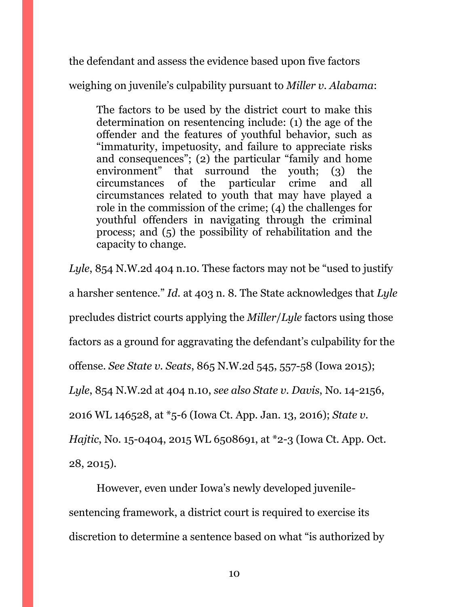the defendant and assess the evidence based upon five factors

weighing on juvenile's culpability pursuant to *Miller v. Alabama*:

The factors to be used by the district court to make this determination on resentencing include: (1) the age of the offender and the features of youthful behavior, such as "immaturity, impetuosity, and failure to appreciate risks and consequences"; (2) the particular "family and home environment" that surround the youth; (3) the circumstances of the particular crime and all circumstances related to youth that may have played a role in the commission of the crime; (4) the challenges for youthful offenders in navigating through the criminal process; and (5) the possibility of rehabilitation and the capacity to change.

*Lyle*, 854 N.W.2d 404 n.10. These factors may not be "used to justify a harsher sentence." *Id.* at 403 n. 8. The State acknowledges that *Lyle*  precludes district courts applying the *Miller*/*Lyle* factors using those factors as a ground for aggravating the defendant's culpability for the offense. *See State v. Seats*, 865 N.W.2d 545, 557-58 (Iowa 2015); *Lyle*, 854 N.W.2d at 404 n.10, *see also State v. Davis*, No. 14-2156, 2016 WL 146528, at \*5-6 (Iowa Ct. App. Jan. 13, 2016); *State v. Hajtic*, No. 15-0404, 2015 WL 6508691, at \*2-3 (Iowa Ct. App. Oct. 28, 2015).

However, even under Iowa's newly developed juvenilesentencing framework, a district court is required to exercise its discretion to determine a sentence based on what "is authorized by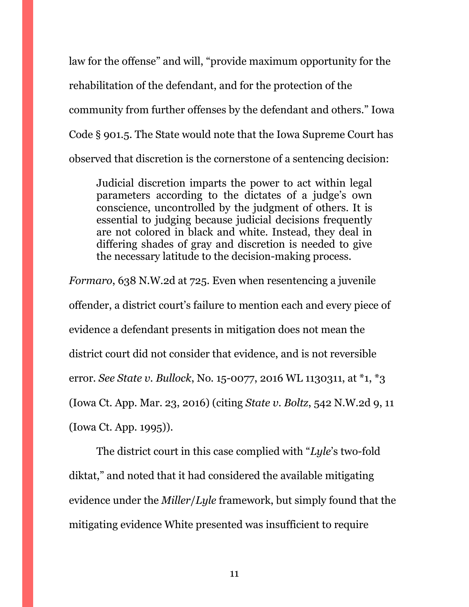law for the offense" and will, "provide maximum opportunity for the rehabilitation of the defendant, and for the protection of the community from further offenses by the defendant and others." Iowa Code § 901.5. The State would note that the Iowa Supreme Court has observed that discretion is the cornerstone of a sentencing decision:

Judicial discretion imparts the power to act within legal parameters according to the dictates of a judge's own conscience, uncontrolled by the judgment of others. It is essential to judging because judicial decisions frequently are not colored in black and white. Instead, they deal in differing shades of gray and discretion is needed to give the necessary latitude to the decision-making process.

*Formaro*, 638 N.W.2d at 725. Even when resentencing a juvenile offender, a district court's failure to mention each and every piece of evidence a defendant presents in mitigation does not mean the district court did not consider that evidence, and is not reversible error. *See State v. Bullock*, No. 15-0077, 2016 WL 1130311, at \*1, \*3 (Iowa Ct. App. Mar. 23, 2016) (citing *State v. Boltz*, 542 N.W.2d 9, 11 (Iowa Ct. App. 1995)).

The district court in this case complied with "*Lyle*'s two-fold diktat," and noted that it had considered the available mitigating evidence under the *Miller*/*Lyle* framework, but simply found that the mitigating evidence White presented was insufficient to require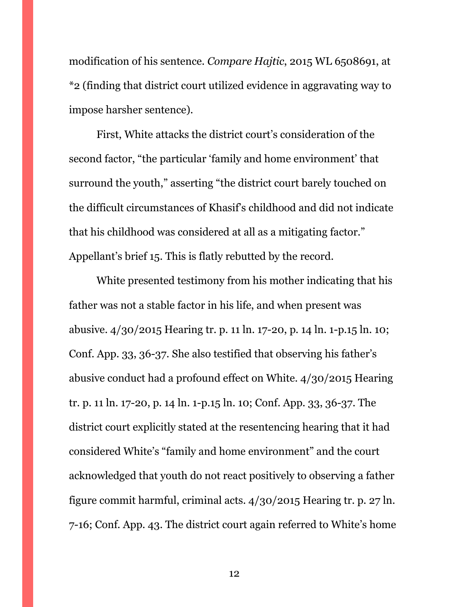modification of his sentence. *Compare Hajtic*, 2015 WL 6508691, at \*2 (finding that district court utilized evidence in aggravating way to impose harsher sentence).

First, White attacks the district court's consideration of the second factor, "the particular 'family and home environment' that surround the youth," asserting "the district court barely touched on the difficult circumstances of Khasif's childhood and did not indicate that his childhood was considered at all as a mitigating factor." Appellant's brief 15. This is flatly rebutted by the record.

White presented testimony from his mother indicating that his father was not a stable factor in his life, and when present was abusive. 4/30/2015 Hearing tr. p. 11 ln. 17-20, p. 14 ln. 1-p.15 ln. 10; Conf. App. 33, 36-37. She also testified that observing his father's abusive conduct had a profound effect on White. 4/30/2015 Hearing tr. p. 11 ln. 17-20, p. 14 ln. 1-p.15 ln. 10; Conf. App. 33, 36-37. The district court explicitly stated at the resentencing hearing that it had considered White's "family and home environment" and the court acknowledged that youth do not react positively to observing a father figure commit harmful, criminal acts. 4/30/2015 Hearing tr. p. 27 ln. 7-16; Conf. App. 43. The district court again referred to White's home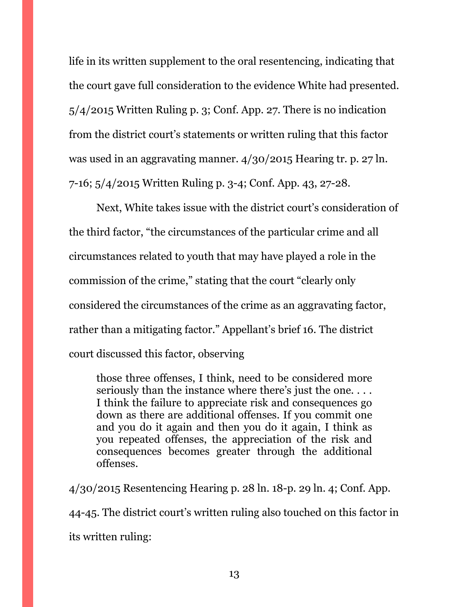life in its written supplement to the oral resentencing, indicating that the court gave full consideration to the evidence White had presented. 5/4/2015 Written Ruling p. 3; Conf. App. 27. There is no indication from the district court's statements or written ruling that this factor was used in an aggravating manner. 4/30/2015 Hearing tr. p. 27 ln. 7-16; 5/4/2015 Written Ruling p. 3-4; Conf. App. 43, 27-28.

Next, White takes issue with the district court's consideration of the third factor, "the circumstances of the particular crime and all circumstances related to youth that may have played a role in the commission of the crime," stating that the court "clearly only considered the circumstances of the crime as an aggravating factor, rather than a mitigating factor." Appellant's brief 16. The district court discussed this factor, observing

those three offenses, I think, need to be considered more seriously than the instance where there's just the one.... I think the failure to appreciate risk and consequences go down as there are additional offenses. If you commit one and you do it again and then you do it again, I think as you repeated offenses, the appreciation of the risk and consequences becomes greater through the additional offenses.

4/30/2015 Resentencing Hearing p. 28 ln. 18-p. 29 ln. 4; Conf. App. 44-45. The district court's written ruling also touched on this factor in its written ruling: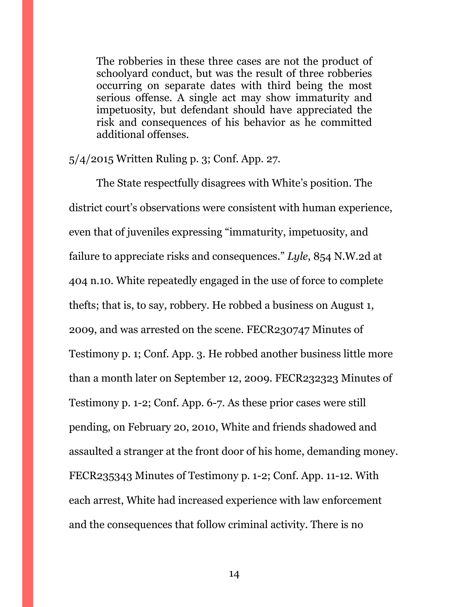The robberies in these three cases are not the product of schoolyard conduct, but was the result of three robberies occurring on separate dates with third being the most serious offense. A single act may show immaturity and impetuosity, but defendant should have appreciated the risk and consequences of his behavior as he committed additional offenses.

## 5/4/2015 Written Ruling p. 3; Conf. App. 27.

The State respectfully disagrees with White's position. The district court's observations were consistent with human experience, even that of juveniles expressing "immaturity, impetuosity, and failure to appreciate risks and consequences." *Lyle*, 854 N.W.2d at 404 n.10. White repeatedly engaged in the use of force to complete thefts; that is, to say, robbery. He robbed a business on August 1, 2009, and was arrested on the scene. FECR230747 Minutes of Testimony p. 1; Conf. App. 3. He robbed another business little more than a month later on September 12, 2009. FECR232323 Minutes of Testimony p. 1-2; Conf. App. 6-7. As these prior cases were still pending, on February 20, 2010, White and friends shadowed and assaulted a stranger at the front door of his home, demanding money. FECR235343 Minutes of Testimony p. 1-2; Conf. App. 11-12. With each arrest, White had increased experience with law enforcement and the consequences that follow criminal activity. There is no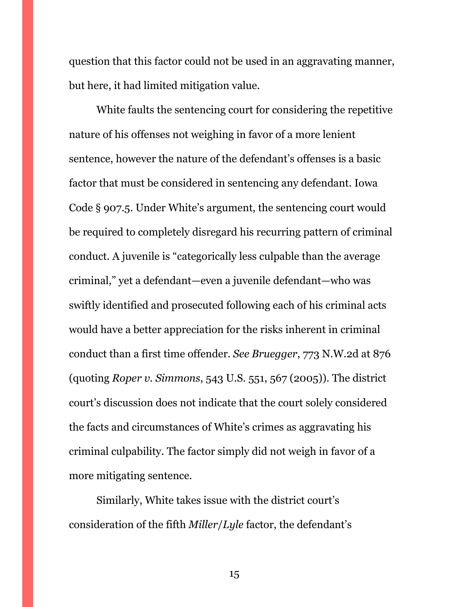question that this factor could not be used in an aggravating manner, but here, it had limited mitigation value.

White faults the sentencing court for considering the repetitive nature of his offenses not weighing in favor of a more lenient sentence, however the nature of the defendant's offenses is a basic factor that must be considered in sentencing any defendant. Iowa Code § 907.5. Under White's argument, the sentencing court would be required to completely disregard his recurring pattern of criminal conduct. A juvenile is "categorically less culpable than the average criminal," yet a defendant—even a juvenile defendant—who was swiftly identified and prosecuted following each of his criminal acts would have a better appreciation for the risks inherent in criminal conduct than a first time offender. *See Bruegger*, 773 N.W.2d at 876 (quoting *Roper v. Simmons*, 543 U.S. 551, 567 (2005)). The district court's discussion does not indicate that the court solely considered the facts and circumstances of White's crimes as aggravating his criminal culpability. The factor simply did not weigh in favor of a more mitigating sentence.

Similarly, White takes issue with the district court's consideration of the fifth *Miller*/*Lyle* factor, the defendant's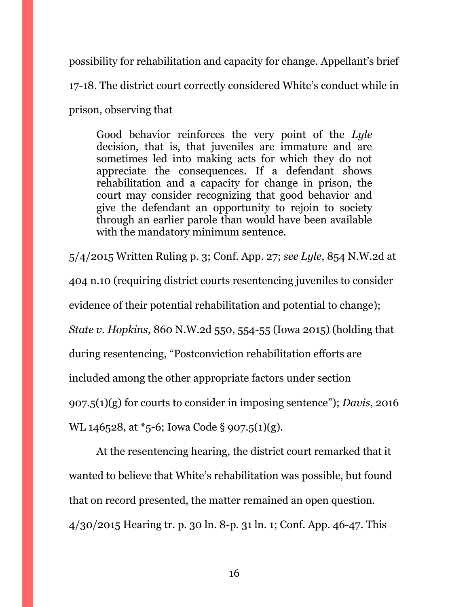possibility for rehabilitation and capacity for change. Appellant's brief 17-18. The district court correctly considered White's conduct while in

prison, observing that

Good behavior reinforces the very point of the *Lyle*  decision, that is, that juveniles are immature and are sometimes led into making acts for which they do not appreciate the consequences. If a defendant shows rehabilitation and a capacity for change in prison, the court may consider recognizing that good behavior and give the defendant an opportunity to rejoin to society through an earlier parole than would have been available with the mandatory minimum sentence.

5/4/2015 Written Ruling p. 3; Conf. App. 27; *see Lyle*, 854 N.W.2d at 404 n.10 (requiring district courts resentencing juveniles to consider evidence of their potential rehabilitation and potential to change); *State v. Hopkins*, 860 N.W.2d 550, 554-55 (Iowa 2015) (holding that during resentencing, "Postconviction rehabilitation efforts are included among the other appropriate factors under section 907.5(1)(g) for courts to consider in imposing sentence"); *Davis*, 2016 WL 146528, at \*5-6; Iowa Code § 907.5(1)(g).

At the resentencing hearing, the district court remarked that it wanted to believe that White's rehabilitation was possible, but found that on record presented, the matter remained an open question. 4/30/2015 Hearing tr. p. 30 ln. 8-p. 31 ln. 1; Conf. App. 46-47. This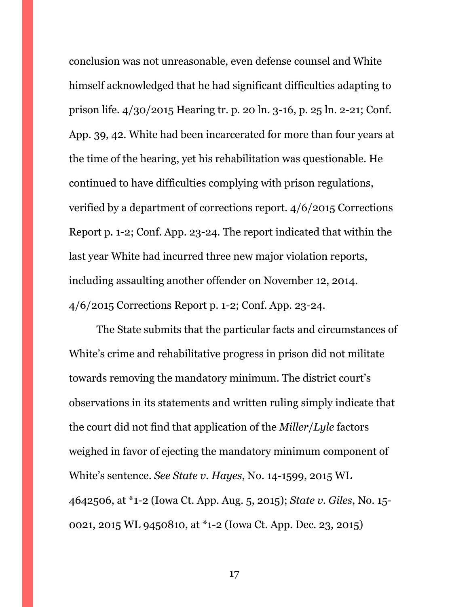conclusion was not unreasonable, even defense counsel and White himself acknowledged that he had significant difficulties adapting to prison life. 4/30/2015 Hearing tr. p. 20 ln. 3-16, p. 25 ln. 2-21; Conf. App. 39, 42. White had been incarcerated for more than four years at the time of the hearing, yet his rehabilitation was questionable. He continued to have difficulties complying with prison regulations, verified by a department of corrections report. 4/6/2015 Corrections Report p. 1-2; Conf. App. 23-24. The report indicated that within the last year White had incurred three new major violation reports, including assaulting another offender on November 12, 2014. 4/6/2015 Corrections Report p. 1-2; Conf. App. 23-24.

The State submits that the particular facts and circumstances of White's crime and rehabilitative progress in prison did not militate towards removing the mandatory minimum. The district court's observations in its statements and written ruling simply indicate that the court did not find that application of the *Miller*/*Lyle* factors weighed in favor of ejecting the mandatory minimum component of White's sentence. *See State v. Hayes*, No. 14-1599, 2015 WL 4642506, at \*1-2 (Iowa Ct. App. Aug. 5, 2015); *State v. Giles*, No. 15- 0021, 2015 WL 9450810, at \*1-2 (Iowa Ct. App. Dec. 23, 2015)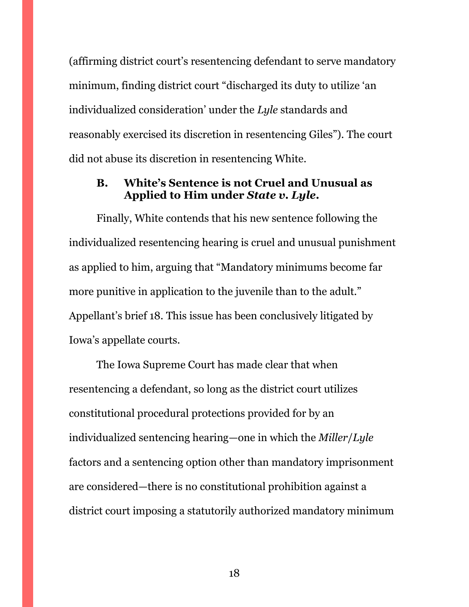(affirming district court's resentencing defendant to serve mandatory minimum, finding district court "discharged its duty to utilize 'an individualized consideration' under the *Lyle* standards and reasonably exercised its discretion in resentencing Giles"). The court did not abuse its discretion in resentencing White.

## <span id="page-21-0"></span>**B. White's Sentence is not Cruel and Unusual as Applied to Him under** *State v. Lyle***.**

Finally, White contends that his new sentence following the individualized resentencing hearing is cruel and unusual punishment as applied to him, arguing that "Mandatory minimums become far more punitive in application to the juvenile than to the adult." Appellant's brief 18. This issue has been conclusively litigated by Iowa's appellate courts.

The Iowa Supreme Court has made clear that when resentencing a defendant, so long as the district court utilizes constitutional procedural protections provided for by an individualized sentencing hearing—one in which the *Miller*/*Lyle* factors and a sentencing option other than mandatory imprisonment are considered—there is no constitutional prohibition against a district court imposing a statutorily authorized mandatory minimum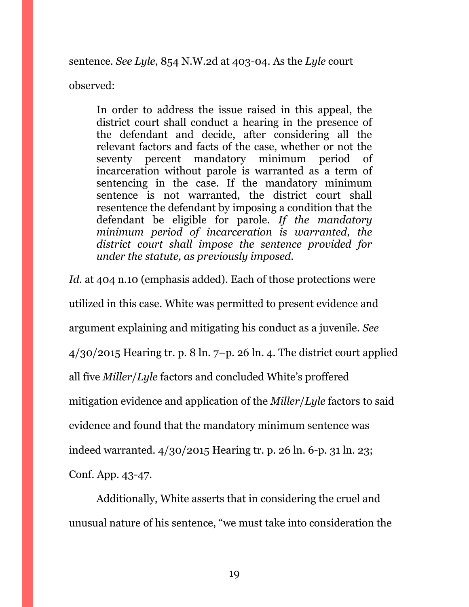sentence. *See Lyle*, 854 N.W.2d at 403-04. As the *Lyle* court

observed:

In order to address the issue raised in this appeal, the district court shall conduct a hearing in the presence of the defendant and decide, after considering all the relevant factors and facts of the case, whether or not the seventy percent mandatory minimum period of incarceration without parole is warranted as a term of sentencing in the case. If the mandatory minimum sentence is not warranted, the district court shall resentence the defendant by imposing a condition that the defendant be eligible for parole. *If the mandatory minimum period of incarceration is warranted, the district court shall impose the sentence provided for under the statute, as previously imposed.*

*Id.* at 404 n.10 (emphasis added). Each of those protections were utilized in this case. White was permitted to present evidence and argument explaining and mitigating his conduct as a juvenile. *See*   $4/30/2015$  Hearing tr. p. 8 ln. 7–p. 26 ln. 4. The district court applied all five *Miller*/*Lyle* factors and concluded White's proffered mitigation evidence and application of the *Miller*/*Lyle* factors to said evidence and found that the mandatory minimum sentence was indeed warranted. 4/30/2015 Hearing tr. p. 26 ln. 6-p. 31 ln. 23; Conf. App. 43-47.

Additionally, White asserts that in considering the cruel and unusual nature of his sentence, "we must take into consideration the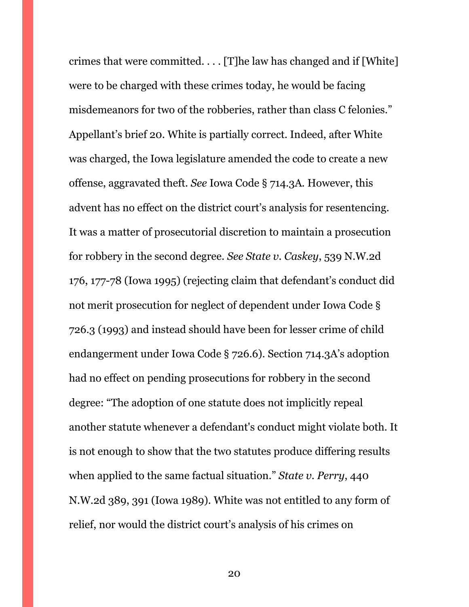crimes that were committed.  $\ldots$  [T]he law has changed and if [White] were to be charged with these crimes today, he would be facing misdemeanors for two of the robberies, rather than class C felonies." Appellant's brief 20. White is partially correct. Indeed, after White was charged, the Iowa legislature amended the code to create a new offense, aggravated theft. *See* Iowa Code § 714.3A. However, this advent has no effect on the district court's analysis for resentencing. It was a matter of prosecutorial discretion to maintain a prosecution for robbery in the second degree. *See State v. Caskey*, 539 N.W.2d 176, 177-78 (Iowa 1995) (rejecting claim that defendant's conduct did not merit prosecution for neglect of dependent under Iowa Code § 726.3 (1993) and instead should have been for lesser crime of child endangerment under Iowa Code § 726.6). Section 714.3A's adoption had no effect on pending prosecutions for robbery in the second degree: "The adoption of one statute does not implicitly repeal another statute whenever a defendant's conduct might violate both. It is not enough to show that the two statutes produce differing results when applied to the same factual situation." *State v. Perry*, 440 N.W.2d 389, 391 (Iowa 1989). White was not entitled to any form of relief, nor would the district court's analysis of his crimes on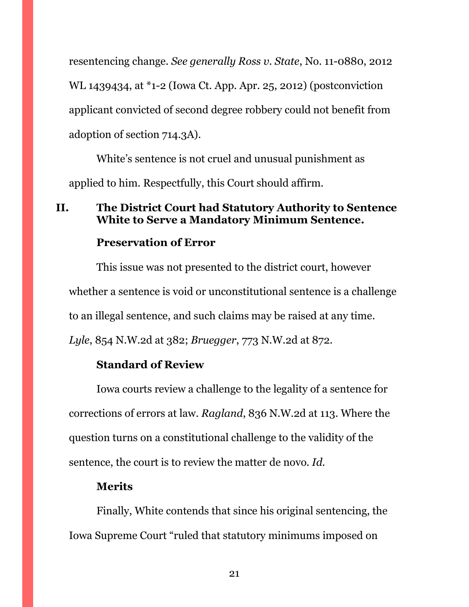resentencing change. *See generally Ross v. State*, No. 11-0880, 2012 WL 1439434, at \*1-2 (Iowa Ct. App. Apr. 25, 2012) (postconviction applicant convicted of second degree robbery could not benefit from adoption of section 714.3A).

White's sentence is not cruel and unusual punishment as applied to him. Respectfully, this Court should affirm.

## <span id="page-24-0"></span>**II. The District Court had Statutory Authority to Sentence White to Serve a Mandatory Minimum Sentence.**

## **Preservation of Error**

This issue was not presented to the district court, however whether a sentence is void or unconstitutional sentence is a challenge to an illegal sentence, and such claims may be raised at any time. *Lyle*, 854 N.W.2d at 382; *Bruegger*, 773 N.W.2d at 872.

# **Standard of Review**

Iowa courts review a challenge to the legality of a sentence for corrections of errors at law. *Ragland*, 836 N.W.2d at 113. Where the question turns on a constitutional challenge to the validity of the sentence, the court is to review the matter de novo. *Id.*

## **Merits**

Finally, White contends that since his original sentencing, the Iowa Supreme Court "ruled that statutory minimums imposed on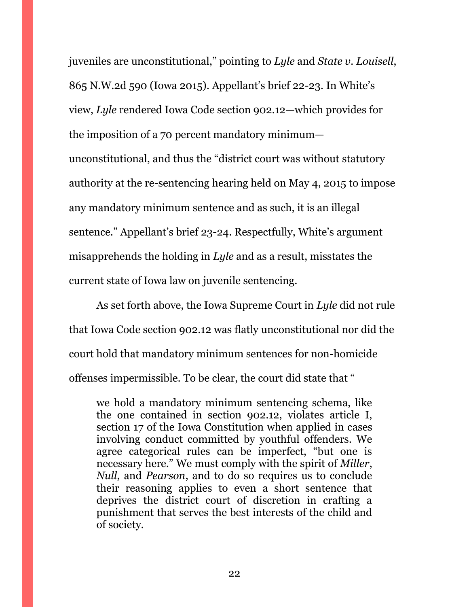juveniles are unconstitutional," pointing to *Lyle* and *State v. Louisell*, 865 N.W.2d 590 (Iowa 2015). Appellant's brief 22-23. In White's view, *Lyle* rendered Iowa Code section 902.12—which provides for the imposition of a 70 percent mandatory minimum unconstitutional, and thus the "district court was without statutory authority at the re-sentencing hearing held on May 4, 2015 to impose any mandatory minimum sentence and as such, it is an illegal sentence." Appellant's brief 23-24. Respectfully, White's argument misapprehends the holding in *Lyle* and as a result, misstates the current state of Iowa law on juvenile sentencing.

As set forth above, the Iowa Supreme Court in *Lyle* did not rule that Iowa Code section 902.12 was flatly unconstitutional nor did the court hold that mandatory minimum sentences for non-homicide offenses impermissible. To be clear, the court did state that "

we hold a mandatory minimum sentencing schema, like the one contained in section 902.12, violates article I, section 17 of the Iowa Constitution when applied in cases involving conduct committed by youthful offenders. We agree categorical rules can be imperfect, "but one is necessary here." We must comply with the spirit of *Miller*, *Null*, and *Pearson*, and to do so requires us to conclude their reasoning applies to even a short sentence that deprives the district court of discretion in crafting a punishment that serves the best interests of the child and of society.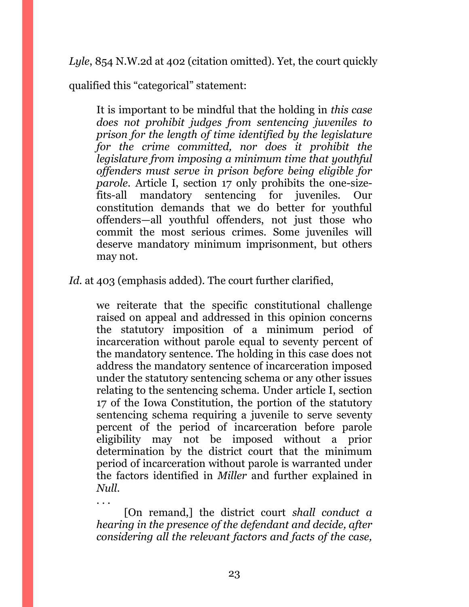*Lyle*, 854 N.W.2d at 402 (citation omitted). Yet, the court quickly

qualified this "categorical" statement:

It is important to be mindful that the holding in *this case does not prohibit judges from sentencing juveniles to prison for the length of time identified by the legislature for the crime committed, nor does it prohibit the legislature from imposing a minimum time that youthful offenders must serve in prison before being eligible for parole*. Article I, section 17 only prohibits the one-sizefits-all mandatory sentencing for juveniles. Our constitution demands that we do better for youthful offenders—all youthful offenders, not just those who commit the most serious crimes. Some juveniles will deserve mandatory minimum imprisonment, but others may not.

Id. at 403 (emphasis added). The court further clarified,

we reiterate that the specific constitutional challenge raised on appeal and addressed in this opinion concerns the statutory imposition of a minimum period of incarceration without parole equal to seventy percent of the mandatory sentence. The holding in this case does not address the mandatory sentence of incarceration imposed under the statutory sentencing schema or any other issues relating to the sentencing schema. Under article I, section 17 of the Iowa Constitution, the portion of the statutory sentencing schema requiring a juvenile to serve seventy percent of the period of incarceration before parole eligibility may not be imposed without a prior determination by the district court that the minimum period of incarceration without parole is warranted under the factors identified in *Miller* and further explained in *Null*.

. . . [On remand,] the district court *shall conduct a hearing in the presence of the defendant and decide, after considering all the relevant factors and facts of the case,*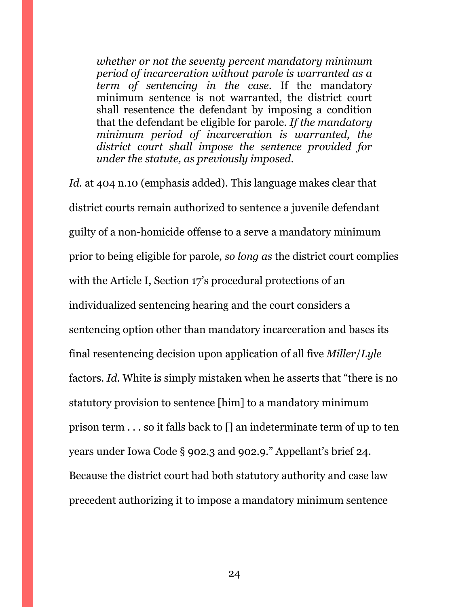*whether or not the seventy percent mandatory minimum period of incarceration without parole is warranted as a term of sentencing in the case*. If the mandatory minimum sentence is not warranted, the district court shall resentence the defendant by imposing a condition that the defendant be eligible for parole. *If the mandatory minimum period of incarceration is warranted, the district court shall impose the sentence provided for under the statute, as previously imposed*.

Id. at 404 n.10 (emphasis added). This language makes clear that district courts remain authorized to sentence a juvenile defendant guilty of a non-homicide offense to a serve a mandatory minimum prior to being eligible for parole, *so long as* the district court complies with the Article I, Section 17's procedural protections of an individualized sentencing hearing and the court considers a sentencing option other than mandatory incarceration and bases its final resentencing decision upon application of all five *Miller*/*Lyle* factors. *Id.* White is simply mistaken when he asserts that "there is no statutory provision to sentence [him] to a mandatory minimum prison term . . . so it falls back to [] an indeterminate term of up to ten years under Iowa Code § 902.3 and 902.9." Appellant's brief 24. Because the district court had both statutory authority and case law precedent authorizing it to impose a mandatory minimum sentence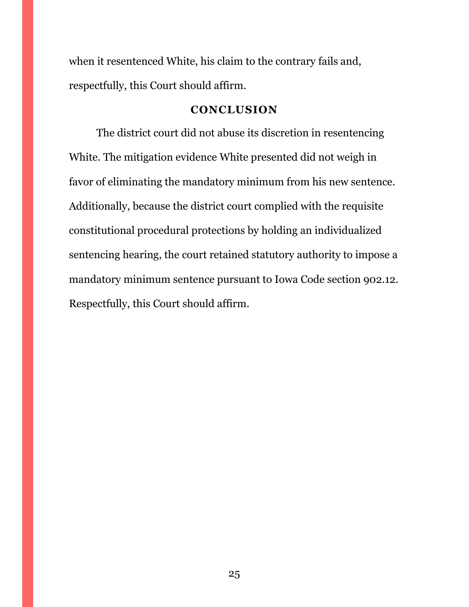when it resentenced White, his claim to the contrary fails and, respectfully, this Court should affirm.

#### **CONCLUSION**

<span id="page-28-0"></span>The district court did not abuse its discretion in resentencing White. The mitigation evidence White presented did not weigh in favor of eliminating the mandatory minimum from his new sentence. Additionally, because the district court complied with the requisite constitutional procedural protections by holding an individualized sentencing hearing, the court retained statutory authority to impose a mandatory minimum sentence pursuant to Iowa Code section 902.12. Respectfully, this Court should affirm.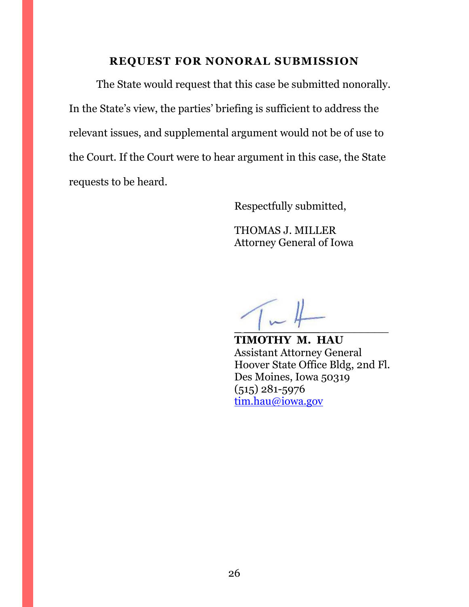# **REQUEST FOR NONORAL SUBMISSION**

<span id="page-29-0"></span>The State would request that this case be submitted nonorally. In the State's view, the parties' briefing is sufficient to address the relevant issues, and supplemental argument would not be of use to the Court. If the Court were to hear argument in this case, the State requests to be heard.

Respectfully submitted,

THOMAS J. MILLER Attorney General of Iowa

 $\tau - 1$ 

**TIMOTHY M. HAU** Assistant Attorney General Hoover State Office Bldg, 2nd Fl. Des Moines, Iowa 50319 (515) 281-5976 [tim.hau@iowa.gov](mailto:tim.hau@iowa.gov)